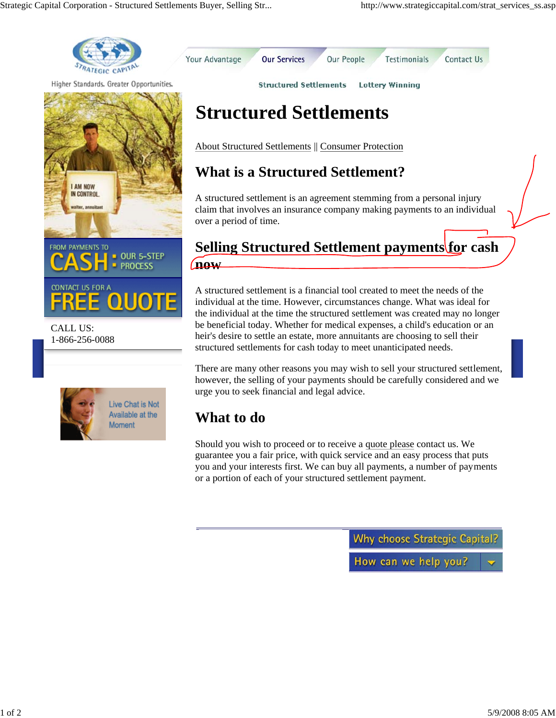Your Advantage

Contact Us

Testimonials

**Lottery Winning** 



Higher Standards. Greater Opportunities.



CALL US: 1-866-256-0088



**Structured Settlements**

**Structured Settlements** 

**Our Services** 

About Structured Settlements || Consumer Protection

## **What is a Structured Settlement?**

A structured settlement is an agreement stemming from a personal injury claim that involves an insurance company making payments to an individual over a period of time.

**Our People** 

## **Selling Structured Settlement payments for cash now**

A structured settlement is a financial tool created to meet the needs of the individual at the time. However, circumstances change. What was ideal for the individual at the time the structured settlement was created may no longer be beneficial today. Whether for medical expenses, a child's education or an heir's desire to settle an estate, more annuitants are choosing to sell their structured settlements for cash today to meet unanticipated needs.

There are many other reasons you may wish to sell your structured settlement, however, the selling of your payments should be carefully considered and we urge you to seek financial and legal advice.

## **What to do**

Should you wish to proceed or to receive a quote please contact us. We guarantee you a fair price, with quick service and an easy process that puts you and your interests first. We can buy all payments, a number of payments or a portion of each of your structured settlement payment.

**Why choose Strategic Capital?** 

How can we help you?